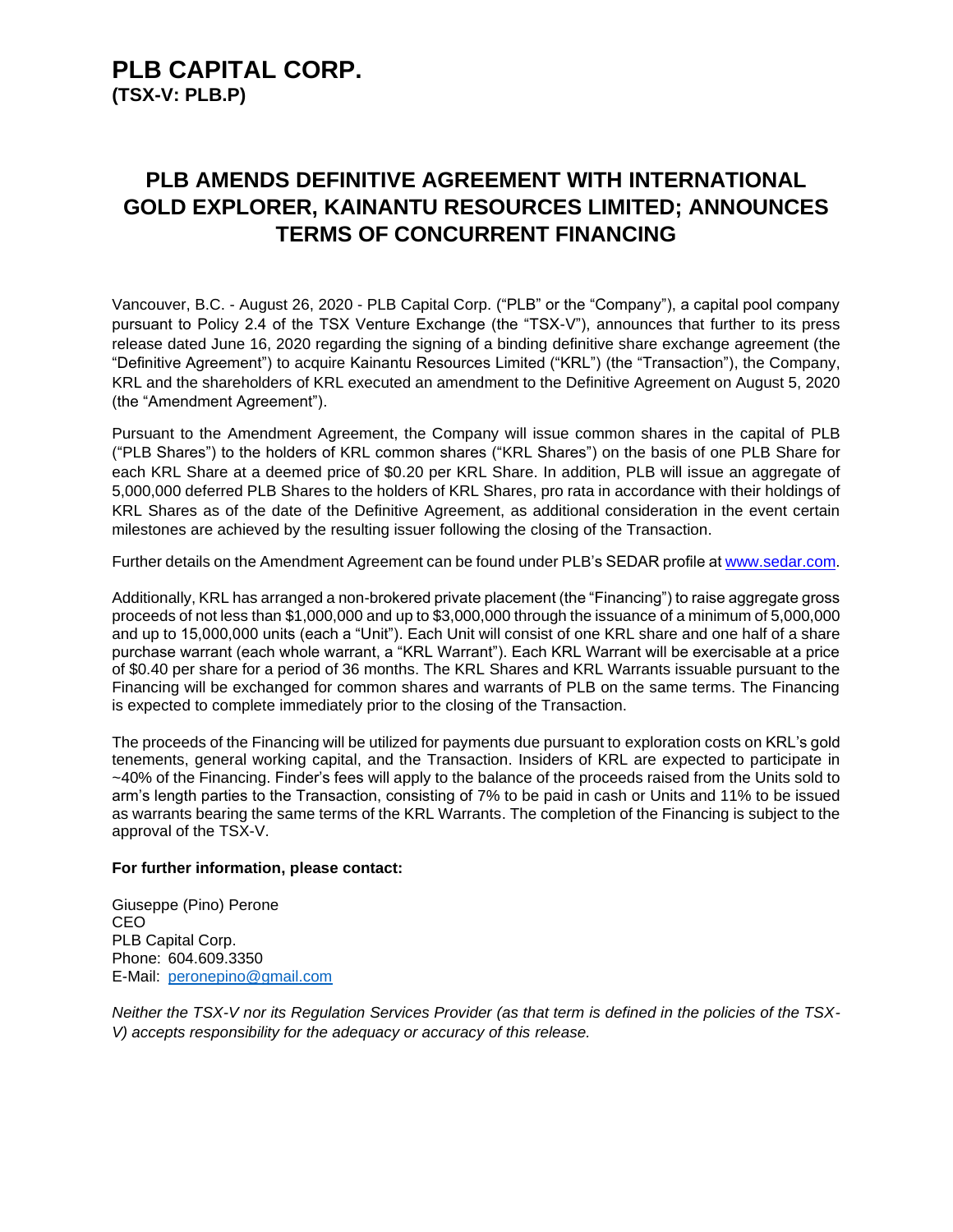### **PLB CAPITAL CORP. (TSX-V: PLB.P)**

# **PLB AMENDS DEFINITIVE AGREEMENT WITH INTERNATIONAL GOLD EXPLORER, KAINANTU RESOURCES LIMITED; ANNOUNCES TERMS OF CONCURRENT FINANCING**

Vancouver, B.C. - August 26, 2020 - PLB Capital Corp. ("PLB" or the "Company"), a capital pool company pursuant to Policy 2.4 of the TSX Venture Exchange (the "TSX-V"), announces that further to its press release dated June 16, 2020 regarding the signing of a binding definitive share exchange agreement (the "Definitive Agreement") to acquire Kainantu Resources Limited ("KRL") (the "Transaction"), the Company, KRL and the shareholders of KRL executed an amendment to the Definitive Agreement on August 5, 2020 (the "Amendment Agreement").

Pursuant to the Amendment Agreement, the Company will issue common shares in the capital of PLB ("PLB Shares") to the holders of KRL common shares ("KRL Shares") on the basis of one PLB Share for each KRL Share at a deemed price of \$0.20 per KRL Share. In addition, PLB will issue an aggregate of 5,000,000 deferred PLB Shares to the holders of KRL Shares, pro rata in accordance with their holdings of KRL Shares as of the date of the Definitive Agreement, as additional consideration in the event certain milestones are achieved by the resulting issuer following the closing of the Transaction.

Further details on the Amendment Agreement can be found under PLB's SEDAR profile at [www.sedar.com.](http://www.sedar.com/)

Additionally, KRL has arranged a non-brokered private placement (the "Financing") to raise aggregate gross proceeds of not less than \$1,000,000 and up to \$3,000,000 through the issuance of a minimum of 5,000,000 and up to 15,000,000 units (each a "Unit"). Each Unit will consist of one KRL share and one half of a share purchase warrant (each whole warrant, a "KRL Warrant"). Each KRL Warrant will be exercisable at a price of \$0.40 per share for a period of 36 months. The KRL Shares and KRL Warrants issuable pursuant to the Financing will be exchanged for common shares and warrants of PLB on the same terms. The Financing is expected to complete immediately prior to the closing of the Transaction.

The proceeds of the Financing will be utilized for payments due pursuant to exploration costs on KRL's gold tenements, general working capital, and the Transaction. Insiders of KRL are expected to participate in ~40% of the Financing. Finder's fees will apply to the balance of the proceeds raised from the Units sold to arm's length parties to the Transaction, consisting of 7% to be paid in cash or Units and 11% to be issued as warrants bearing the same terms of the KRL Warrants. The completion of the Financing is subject to the approval of the TSX-V.

#### **For further information, please contact:**

Giuseppe (Pino) Perone CEO PLB Capital Corp. Phone: 604.609.3350 E-Mail: [peronepino@gmail.com](mailto:peronepino@gmail.com)

*Neither the TSX-V nor its Regulation Services Provider (as that term is defined in the policies of the TSX-V) accepts responsibility for the adequacy or accuracy of this release.*